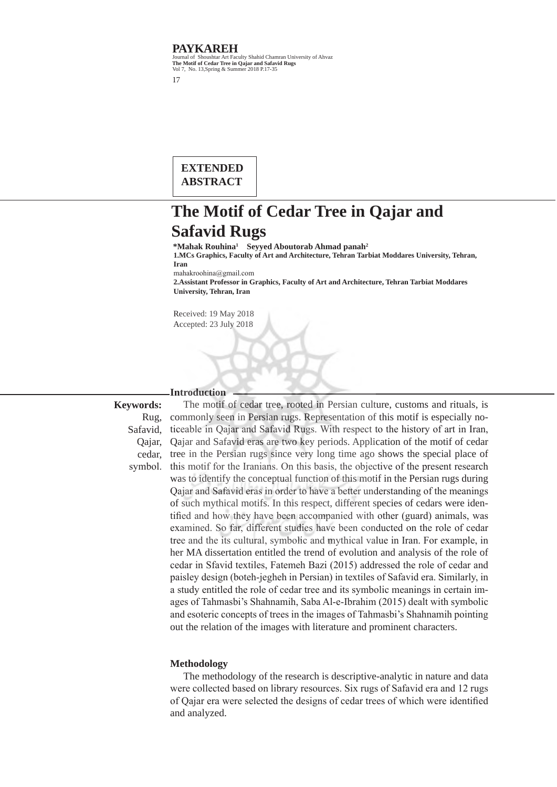#### Journal of Shoushtar Art Faculty Shahid Chamran University of Ahvaz<br>**The Motif of Cedar Tree in Qajar and Safavid Rugs** Vol 7, No. 13, Spring & Summer 2018 P.17-35 17 **PAYKAREH**

 **EXTENDED ABSTRACT**

# **The Motif of Cedar Tree in Qajar and Safavid Rugs**

**<sup>\*</sup>Mahak Rouhina<sup>1</sup> Seyyed Aboutorab Ahmad panah<sup>2</sup>** 

 **1.MCs Graphics, Faculty of Art and Architecture, Tehran Tarbiat Moddares University, Tehran, Iran**

mahakroohina@gmail.com

2. Assistant Professor in Graphics, Faculty of Art and Architecture, Tehran Tarbiat Moddares **University, Tehran, Iran** 

Received: 19 May 2018 Accepted: 23 July 2018

#### **Introduction**

**:Keywords**

Rug. Safavid. Oajar. cedar, symbol.

The motif of cedar tree, rooted in Persian culture, customs and rituals, is ticeable in Qajar and Safavid Rugs. With respect to the history of art in Iran, commonly seen in Persian rugs. Representation of this motif is especially no-Qajar and Safavid eras are two key periods. Application of the motif of cedar tree in the Persian rugs since very long time ago shows the special place of this motif for the Iranians. On this basis, the objective of the present research was to identify the conceptual function of this motif in the Persian rugs during Qajar and Safavid eras in order to have a better understanding of the meanings tified and how they have been accompanied with other (guard) animals, was of such mythical motifs. In this respect, different species of cedars were idenexamined. So far, different studies have been conducted on the role of cedar tree and the its cultural, symbolic and mythical value in Iran. For example, in her MA dissertation entitled the trend of evolution and analysis of the role of cedar in Sfavid textiles, Fatemeh Bazi (2015) addressed the role of cedar and paisley design (boteh-jegheh in Persian) in textiles of Safavid era. Similarly, in ages of Tahmasbi's Shahnamih, Saba Al-e-Ibrahim (2015) dealt with symbolic a study entitled the role of cedar tree and its symbolic meanings in certain imand esoteric concepts of trees in the images of Tahmasbi's Shahnamih pointing out the relation of the images with literature and prominent characters.

#### **Methodology**

The methodology of the research is descriptive-analytic in nature and data were collected based on library resources. Six rugs of Safavid era and 12 rugs of Qajar era were selected the designs of cedar trees of which were identified and analyzed.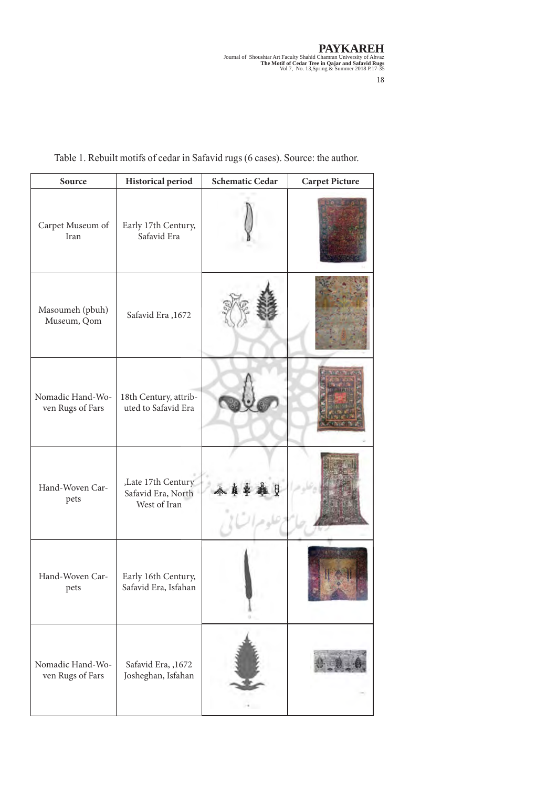#### Journal of Shoushtar Art Faculty Shahid Chamran University of Ahvaz Vol 7, No. 13, Spring & Summer 2018 P.17-35 **PAYKAREH** The Motif of Cedar Tree in Qajar and Safavid Rugs

18

| Source                               | <b>Historical period</b>                                 | <b>Schematic Cedar</b> | <b>Carpet Picture</b> |
|--------------------------------------|----------------------------------------------------------|------------------------|-----------------------|
| Carpet Museum of<br>Iran             | Early 17th Century,<br>Safavid Era                       |                        |                       |
| Masoumeh (pbuh)<br>Museum, Qom       | Safavid Era, 1672                                        |                        |                       |
| Nomadic Hand-Wo-<br>ven Rugs of Fars | 18th Century, attrib-<br>uted to Safavid Era             |                        |                       |
| Hand-Woven Car-<br>pets              | ,Late 17th Century<br>Safavid Era, North<br>West of Iran |                        |                       |
| Hand-Woven Car-<br>pets              | Early 16th Century,<br>Safavid Era, Isfahan              |                        |                       |
| Nomadic Hand-Wo-<br>ven Rugs of Fars | Safavid Era, ,1672<br>Josheghan, Isfahan                 |                        |                       |

## Table 1. Rebuilt motifs of cedar in Safavid rugs (6 cases). Source: the author.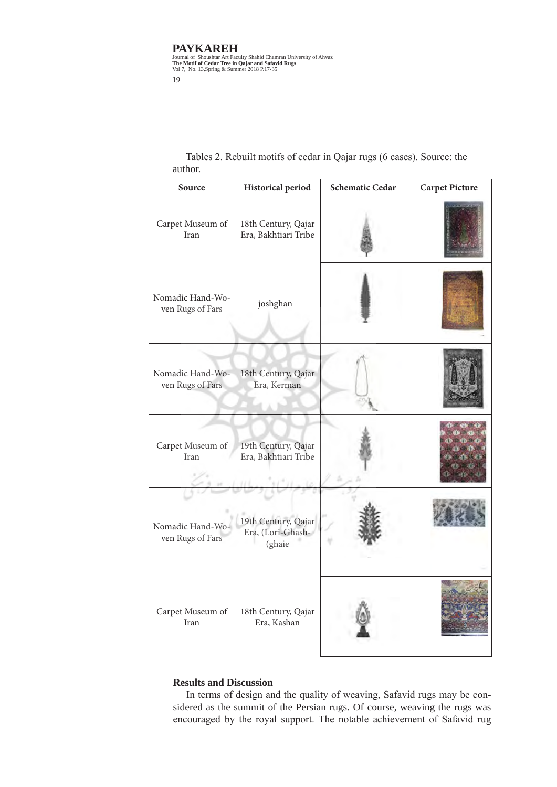#### Journal of Shoushtar Art Faculty Shahid Chamran University of Ahvaz **The Motif of Cedar Tree in Qajar and Safavid Rugs** Vol 7, No. 13, Spring & Summer 2018 P.17-35 19 **PAYKAREH**

| Source                               | <b>Historical period</b>                           | <b>Schematic Cedar</b> | <b>Carpet Picture</b> |
|--------------------------------------|----------------------------------------------------|------------------------|-----------------------|
| Carpet Museum of<br>Iran             | 18th Century, Qajar<br>Era, Bakhtiari Tribe        |                        |                       |
| Nomadic Hand-Wo-<br>ven Rugs of Fars | joshghan                                           |                        |                       |
| Nomadic Hand-Wo-<br>ven Rugs of Fars | 18th Century, Qajar<br>Era, Kerman                 |                        |                       |
| Carpet Museum of<br>Iran             | 19th Century, Qajar<br>Era, Bakhtiari Tribe        |                        |                       |
| Nomadic Hand-Wo-<br>ven Rugs of Fars | 19th Century, Qajar<br>Era, (Lori-Ghash-<br>(ghaie |                        |                       |
| Carpet Museum of<br>Iran             | 18th Century, Qajar<br>Era, Kashan                 |                        |                       |

### Tables 2. Rebuilt motifs of cedar in Qajar rugs (6 cases). Source: the author.

## **Results and Discussion**

sidered as the summit of the Persian rugs. Of course, weaving the rugs was In terms of design and the quality of weaving, Safavid rugs may be conencouraged by the royal support. The notable achievement of Safavid rug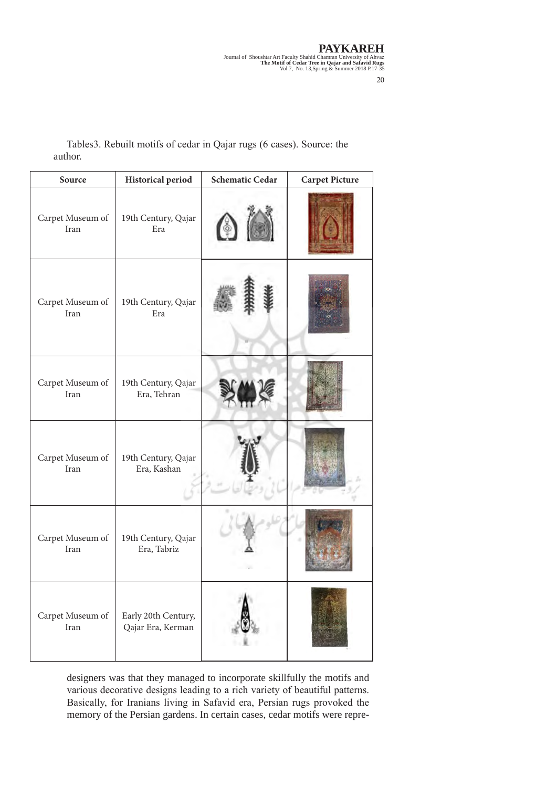## Tables3. Rebuilt motifs of cedar in Qajar rugs (6 cases). Source: the .author

| Source                   | <b>Historical period</b>                 | Schematic Cedar | <b>Carpet Picture</b> |
|--------------------------|------------------------------------------|-----------------|-----------------------|
| Carpet Museum of<br>Iran | 19th Century, Qajar<br>Era               |                 |                       |
| Carpet Museum of<br>Iran | 19th Century, Qajar<br>Era               |                 |                       |
| Carpet Museum of<br>Iran | 19th Century, Qajar<br>Era, Tehran       |                 |                       |
| Carpet Museum of<br>Iran | 19th Century, Qajar<br>Era, Kashan       |                 |                       |
| Carpet Museum of<br>Iran | 19th Century, Qajar<br>Era, Tabriz       |                 |                       |
| Carpet Museum of<br>Iran | Early 20th Century,<br>Qajar Era, Kerman |                 |                       |

designers was that they managed to incorporate skillfully the motifs and various decorative designs leading to a rich variety of beautiful patterns. Basically, for Iranians living in Safavid era, Persian rugs provoked the memory of the Persian gardens. In certain cases, cedar motifs were repre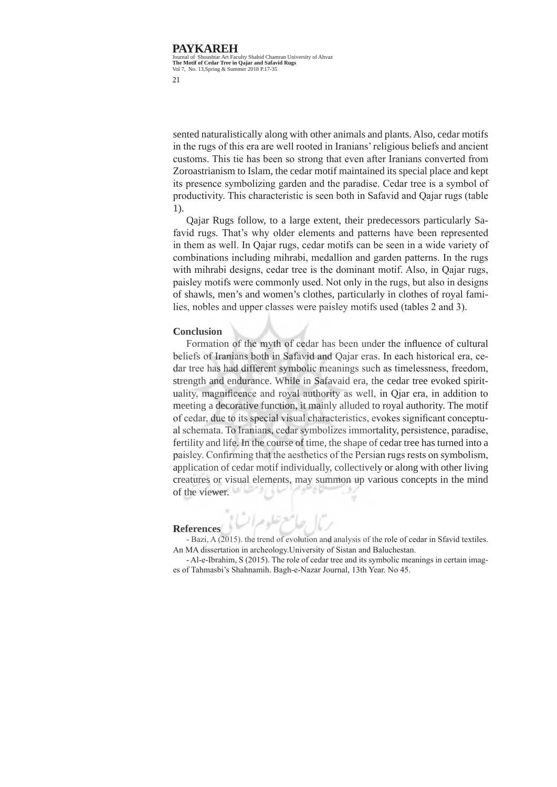sented naturalistically along with other animals and plants. Also, cedar motifs in the rugs of this era are well rooted in Iranians' religious beliefs and ancient customs. This tie has been so strong that even after Iranians converted from Zoroastrianism to Islam, the cedar motif maintained its special place and kept its presence symbolizing garden and the paradise. Cedar tree is a symbol of productivity. This characteristic is seen both in Safavid and Qajar rugs (table .(1

favid rugs. That's why older elements and patterns have been represented Qajar Rugs follow, to a large extent, their predecessors particularly Sain them as well. In Qajar rugs, cedar motifs can be seen in a wide variety of combinations including mihrabi, medallion and garden patterns. In the rugs with mihrabi designs, cedar tree is the dominant motif. Also, in Qajar rugs, paisley motifs were commonly used. Not only in the rugs, but also in designs of shawls, men's and women's clothes, particularly in clothes of royal fami-<br>lies, nobles and upper classes were paisley motifs used (tables 2 and 3).

#### **Conclusion**

Formation of the myth of cedar has been under the influence of cultural dar tree has had different symbolic meanings such as timelessness, freedom, beliefs of Iranians both in Safavid and Oajar eras. In each historical era, ceuality, magnificence and royal authority as well, in Qjar era, in addition to strength and endurance. While in Safavaid era, the cedar tree evoked spiritmeeting a decorative function, it mainly alluded to royal authority. The motif al schemata. To Iranians, cedar symbolizes immortality, persistence, paradise, of cedar, due to its special visual characteristics, evokes significant conceptufertility and life. In the course of time, the shape of cedar tree has turned into a paisley. Confirming that the aesthetics of the Persian rugs rests on symbolism, application of cedar motif individually, collectively or along with other living creatures or visual elements, may summon up various concepts in the mind of the viewer.

#### **References**

- Bazi, A (2015). the trend of evolution and analysis of the role of cedar in Sfavid textiles. An MA dissertation in archeology University of Sistan and Baluchestan.

- Al-e-Ibrahim, S (2015). The role of cedar tree and its symbolic meanings in certain images of Tahmasbi's Shahnamih. Bagh-e-Nazar Journal, 13th Year. No 45.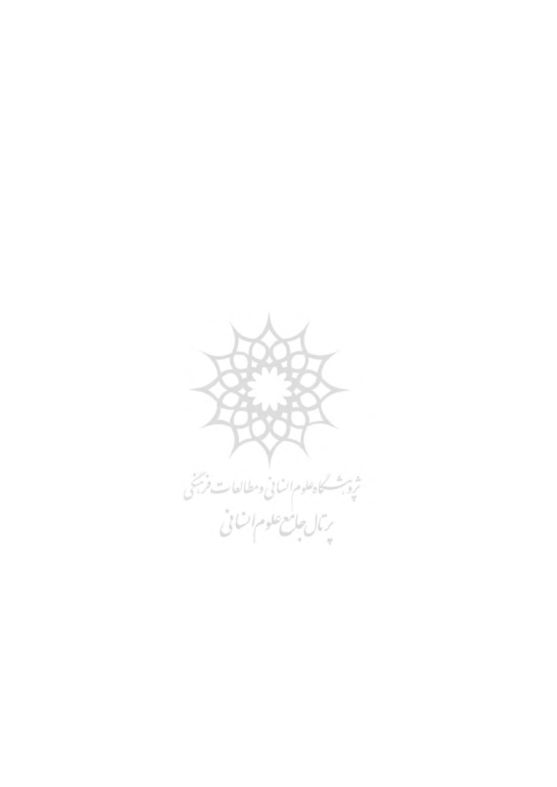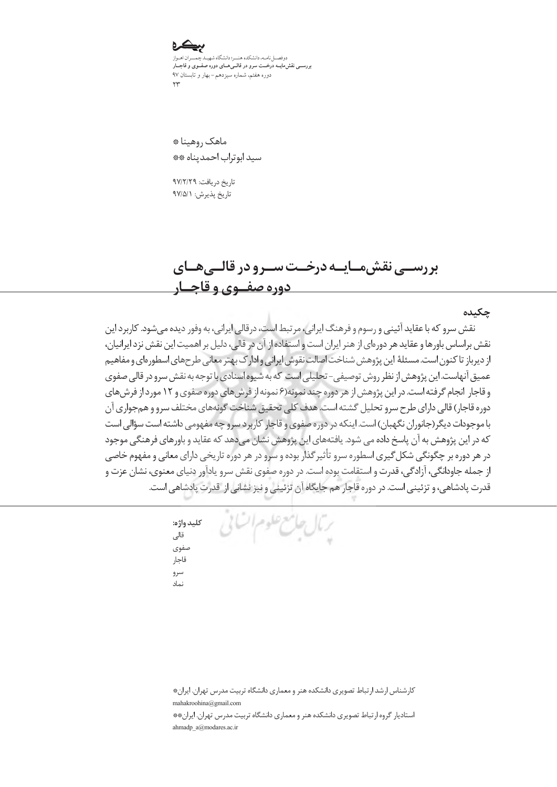دوفصـل نامـه، دانشکده هنــر؛ دانشگاه شهیـد چمــران اهـواز دوره هفتم، شماره سیزدهم - بهار و تابستان 97 ٢٣ **بررسـی نقشمایـه درخـت سرو در قالـیهـای دوره صفـوی و قاجـار**

ماهک روهینا \* سید ابوتراب احمدپناه \*\*

 تاریخ دریافت: 97/2/29 تاریخ پذیرش: 97/5/1

## **بررسـی نقشمـایـه درخـت سـرو در قالـیهـای دوره صفـوی و قاجـار**

## **چکیده**

 نقش سرو که با عقاید آئینی و رسوم و فرهنگ ایرانی، مرتبط است، درقالی ایرانی، به وفور دیده میشود. کاربرد این نقش براساس باورها و عقاید هر دورهای از هنر ایران است و استفاده از آن در قالی، دلیل بر اهمیت این نقش نزد ایرانیان، از دیرباز تا کنون است. مسئلة این پژوهش شناخت اصالت نقوش ایرانی و ادارک بهتر معانی طرحهای اسطورهای و مفاهیم عمیق آنهاست. این پژوهش از نظر روش توصیفی- تحلیلی است که به شیوه اسنادی با توجه به نقش سرو در قالی صفوی و قاجار انجام گرفته است. در این پژوهش از هر دوره چند نمونه)6 نمونه از فرشهای دوره صفوی و 12 مورد از فرشهای دوره قاجار) قالی دارای طرح سرو تحلیل گشته است. هدف کلی تحقیق شناخت گونههای مختلف سرو و همجواری آن با موجودات دیگر)جانوران نگهبان( است. اینکه در دوره صفوی و قاجار کاربرد سرو چه مفهومی داشته است سؤالی است که در این پژوهش به آن پاسخ داده می شود. یافتههای این پژوهش نشان میدهد که عقاید و باورهای فرهنگی موجود در هر دوره بر چگونگی شکلگیری اسطوره سرو تأثیرگذار بوده و سرو در هر دوره تاریخی دارای معانی و مفهوم خاصی از جمله جاودانگی، آزادگی، قدرت و استقامت بوده است. در دوره صفوی نقش سرو یادآور دنیای معنوی، نشان عزت و قدرت پادشاهی، و تزئینی است. در دوره قاجار هم جایگاه آن تزئینی و نیز نشانی از قدرت پادشاهی است.

بال جامع علوم السابع **کلید واژه:** قالی صفوی قاجار سرو نماد

کارشناس ارشد ارتباط تصویری دانشکده هنر و معماری دانشگاه تربیت مدرس تهران. ایران\*  $mahakroohina@gmail.com$ 

استادیار گروه ارتباط تصویری دانشکده هنر و معماری دانشگاه تربیت مدرس تهران. ایران\*\* ahmadp\_a@modares.ac.ir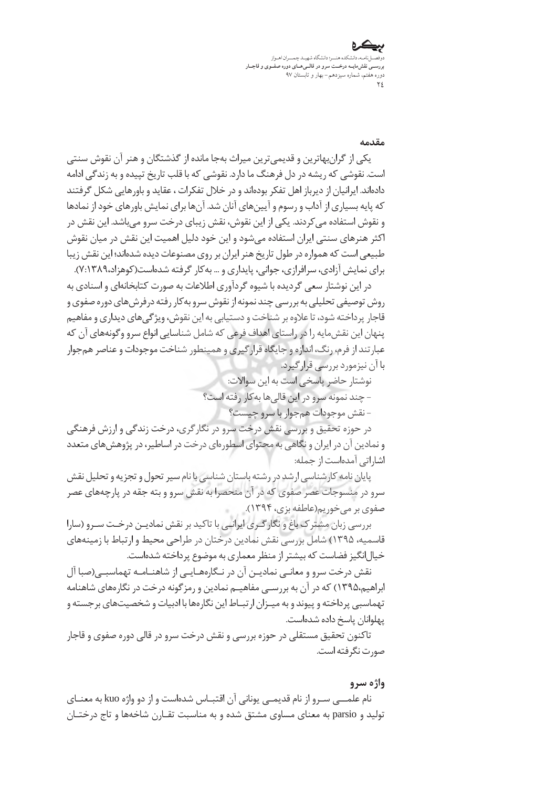د<br>فصــل نامـه، دانشکده هنــر؛ دانشگاه شهيـد چمـــران اهـواز دوره هفتم، شماره سیزدهم - بهار و تابستان 97 ٢٤ **بررسـی نقشمایـه درخـت سرو در قالـیهـای دوره صفـوی و قاجـار**

**مقدمه**

یکی از گرانبهاترین و قدیمیترین میراث بهجا مانده از گذشتگان و هنر آن نقوش سنتی است. نقوشی که ریشه در دل فرهنگ ما دارد. نقوشی که با قلب تاریخ تپیده و به زندگی ادامه دادهاند. ایرانیان از دیرباز اهل تفکر بودهاند و در خالل تفکرات ، عقاید و باورهایی شکل گرفتند که پایه بسیاری از آداب و رسوم و آیینهای آنان شد. آنها برای نمایش باورهای خود از نمادها و نقوش استفاده میکردند. یکی از این نقوش، نقش زیبای درخت سرو میباشد. این نقش در اکثر هنرهای سنتی ایران استفاده میشود و این خود دلیل اهمیت این نقش در میان نقوش طبیعی است که همواره در طول تاریخ هنر ایران بر روی مصنوعات دیده شدهاند؛ این نقش زیبا برای نمایش آزادی، سرافرازی، جوانی، پایداری و ... بهکار گرفته شدهاست)کوهزاد7:1389،(.

در اين نوشتار سعی گردیده با شیوه گردآوری اطالعات به صورت کتابخانهای و اسنادی به روش توصیفی تحلیلی به بررسی چند نمونه از نقوش سرو بهکار رفته درفرشهای دوره صفوی و قاجار پرداخته شود، تا عالوه بر شناخت و دستیابی به این نقوش، ویژگیهای دیداری و مفاهیم پنهان این نقشمایه را در راستای اهداف فرعی که شامل شناسایی انواع سرو وگونههای آن که عبارتند از فرم، رنگ، اندازه و جایگاه قرارگیری و همینطور شناخت موجودات و عناصر همجوار با آن نیزمورد بررسی قرارگیرد.

نوشتار حاضر پاسخی است به این سواالت:

- چند نمونه سرو در این قالیها بهکار رفته است؟

- نقش موجودات همجوار با سرو چیست؟

در حوزه تحقیق و بررسی نقش درخت سرو در نگارگری، درخت زندگی و ارزش فرهنگی و نمادین آن در ایران و نگاهی به محتوای اسطورهای درخت در اساطیر، در پژوهشهای متعدد اشاراتی آمدهاست از جمله:

پایان نامه کارشناسی ارشد در رشته باستان شناسی با نام سیر تحول و تجزیه و تحلیل نقش سرو در منسوجات عصر صفوی که در آن منحصرا به نقش سرو و بته جقه در پارچههای عصر صفوی بر میخوریم)عاطفه بزی، 1394(.

بررسی زبان مشترک باغ و نگارگـری ایرانـی با تاکید بر نقش نمادیـن درخـت سـرو )سارا قاسمیه، 1395( شامل بررسی نقش نمادین درختان در طراحی محیط و ارتباط با زمینههای خیالانگیز فضاست که بیشتر از منظر معماری به موضوع پرداخته شدهاست.

نقش درخت سرو و معانـی نمادیـن آن در نـگارههـایـی از شاهنـامـه تهماسبـی)صبا آل ابراهیم1395،( که در آن به بررسـی مفاهیـم نمادین و رمزگونه درخت در نگارههای شاهنامه تهماسبی پرداخته و پیوند و به میـزان ارتبـاط این نگارهها با ادبیات و شخصیتهای برجسته و پهلوانان پاسخ داده شدهاست.

تاکنون تحقیق مستقلی در حوزه بررسی و نقش درخت سرو در قالی دوره صفوی و قاجار صورت نگرفته است.

**واژه سرو**

نام علمــي سـرو از نام قديمـي يوناني آن اقتبـاس شدهاست و از دو واژه kuo به معنـای تولید و parsio به معنای مساوی مشتق شده و به مناسبت تقـارن شاخهها و تاج درختـان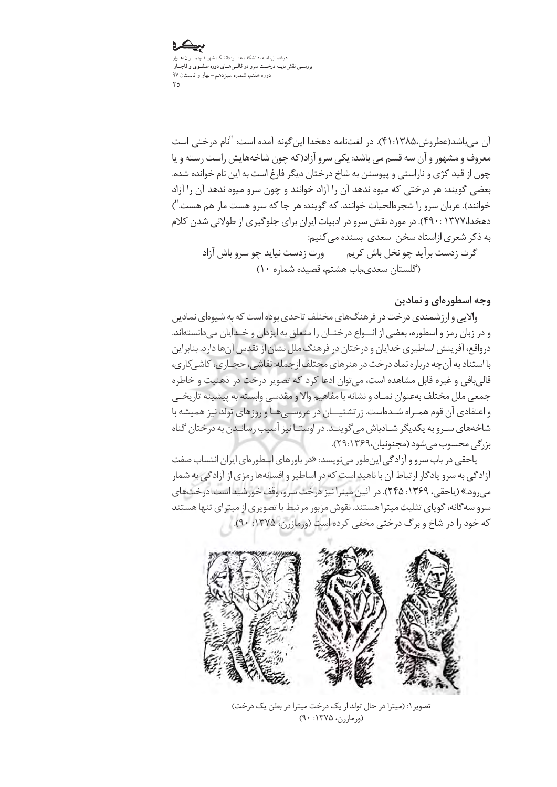دوفصـل نامـه، دانشکده هنــر؛ دانشگاه شهیـد چمــران اهـواز دوره هفتم، شماره سیزدهم - بهار و تابستان 97 ۲٥ **بررسـی نقشمایـه درخـت سرو در قالـیهـای دوره صفـوی و قاجـار**

آن میباشد(عطروش،۴۱:۱۳۸۵). در لغتنامه دهخدا این گونه آمده است: "نام درختی است معروف و مشهور و آن سه قسم می باشد: یکی سرو آزاد)که چون شاخههایش راست رسته و یا چون از قید کژی و ناراستی و پیوستن به شاخ درختان دیگر فارغ است به این نام خوانده شده. بعضی گویند: هر درختی که میوه ندهد آن را آزاد خوانند و چون سرو میوه ندهد آن را آزاد خوانند). عربان سرو را شجرهالحیات خوانند. که گویند: هر جا که سرو هست مار هم هست.") دهخدا،۱۳۷۷ : ۴۹۰). در مورد نقش سرو در ادبیات ایران برای جلوگیری از طولانی شدن کلام به ذکر شعری ازاستاد سخن سعدی بسنده میکنیم: گرت زدست برآید چو نخل باش کریم ورت زدست نیاید چو سرو باش آزاد )گلستان سعدی،باب هشتم، قصیده شماره 10(

**وجه اسطورهای و نمادین** 

وااليی و ارزشمندی درخت در فرهنگهای مختلف تاحدی بوده است كه به شيوهای نمادين و در زبان رمز و اسطوره، بعضی از انــواع درختـان را متعلق به ايزدان و خـدايان میدانستهاند. درواقع، آفرينش اساطيری خدايان و درختان در فرهنگ ملل نشان از تقدس آنها دارد. بنابراين با استناد به آنچه درباره نماد درخت در هنرهای مختلف ازجمله: نقاشی، حجـاری، كاشیكاری، قالیبافی و غیره قابل مشاهده است، میتوان ادعا كرد كه تصوير درخت در ذهنيت و خاطره جمعی ملل مختلف بهعنوان نمـاد و نشانه با مفاهيم واال و مقدسی وابسته به پيشينه تاريخـی و اعتقادی آن قوم همـراه شـدهاست. زرتشتیــان در عروسـیهـا و روزهای تولد نیز همیشه با شاخههای سـرو به یکدیگر شـادباش میگوینـد. در اوستـا نیز آسیب رسانـدن به درختان گناه بزرگی محسوب می شود (مجنونیان،۱۳۶۹).

یاحقی در باب سرو و آزادگی اینطور مینویسد: »در باورهای اسطورهای ایران انتساب صفت آزادگی به سرو یادگار ارتباط آن با ناهید است که در اساطیر و افسانهها رمزی از آزادگی به شمار میرود.« )یاحقی، :۱۳۶۹ ۲۴۵(. در آئین میترا نیز درخت سرو، وقف خورشید است. درختهای سرو سهگانه، گویای تثلیث میترا هستند. نقوش مزبور مرتبط با تصویری از میترای تنها هستند که خود را در شاخ و برگ درختی مخفی کرده است )ورمازرن، :۱۳۷5 ۹۰(.



تصویر ۱: (میترا در حال تولد از یک درخت میترا در بطن یک درخت) )ورمازرن، :۱۳۷5 ۹۰(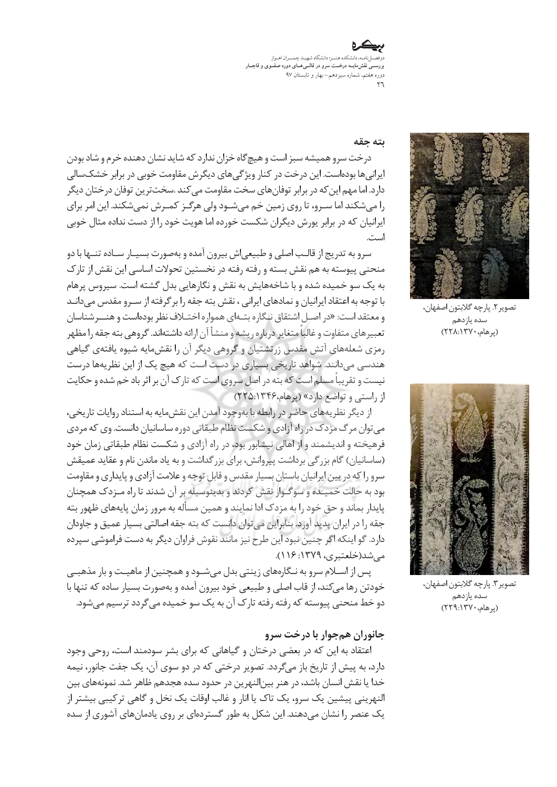دوفصـل نامـه، دانشکده هنــر؛ دانشگاه شهیـد چمــران اهـواز دوره هفتم، شماره سیزدهم - بهار و تابستان 97 ۲٦ **بررسـی نقشمایـه درخـت سرو در قالـیهـای دوره صفـوی و قاجـار**

**بته جقه** 

درخت سرو همیشه سبز است و هیچگاه خزان ندارد که شاید نشان دهنده خرم و شاد بودن ایرانیها بودهاست. این درخت در کنار ویژگیهای دیگرش مقاومت خوبی در برابر خشکسالی دارد. اما مهم این که در برابر توفانهای سخت مقاومت می کند .سختترین توفان درختان دیگر را میشکند اما سـرو، تا روی زمین خم میشـود ولی هرگـز کمـرش نمیشکند. این امر برای ایرانیان که در برابر یورش دیگران شکست خورده اما هویت خود را از دست نداده مثال خوبی است.

سرو به تدريج از قالـب اصلي و طبيعياش بيرون آمده و بهصورت بسيـار سـاده تنـها با دو منحني پيوسته به هم نقش بسته و رفته رفته در نخستين تحوالت اساسي اين نقش از تارك به يک سو خميده شده و با شاخههايش به نقش و نگارهايي بدل گشته است. سيروس پرهام با توجه به اعتقاد ايرانيان و نمادهای ايراني ، نقش بته جقه را برگرفته از سـرو مقدس میدانـد و معتقد است: »در اصـل اشتقاق نـگاره بتـهای همواره اختـالف نظر بودهاست و هنــرشناسان تعبیرهای متفاوت و غالباً متغایر درباره ریشه و منشأ آن ارائه داشتهاند. گروهی بته جقه را مظهر رمزی شعلههای آتش مقدس زرتشتیان و گروهی دیگر آن را نقشمایه شیوه یافتهی گیاهی هندسی میدانند. شواهد تاریخی بسیاری در دست است که هیچ یک از این نظریهها درست نیست و تقریباً مسلم است که بته در اصل سروی است که تارک آن بر اثر باد خم شده و حکایت از راستی و تواضع دارد« )پرهام225:1346،(

از دیگر نظریههای حاضر در رابطه با بهوجود آمدن این نقشمایه به استناد روایات تاریخی، میتوان مرگ مزدک در راه آزادی و شکست نظام طبقاتی دوره ساسانیان دانست. وی که مردی فرهیخته و اندیشمند و از اهالی نیشابور بود، در راه آزادی و شکست نظام طبقاتی زمان خود (ساسانیان) گام بزرگی برداشت پیروانش، برای بزرگداشت و به یاد ماندن نام و عقاید عمیقش سرو را که در بین ایرانیان باستان بسیار مقدس و قابل توجه و عالمت آزادی و پایداری و مقاومت بود به حالت خمیـده و سوگـوار نقش کردند و بدینوسیله بر آن شدند تا راه مـزدک همچنان پایدار بماند و حق خود را به مزدک ادا نمایند و همین مسأله به مرور زمان پایههای ظهور بته جقه را در ایران پدید آورد. بنابراین میتوان دانست که بته جقه اصالتی بسیار عمیق و جاودان دارد. گو اینکه اگر چنین نبود این طرح نیز مانند نقوش فراوان دیگر به دست فراموشی سپرده میشد)خلعتبری، :1379 ۱۱۶(.

پس از اسـالم سرو به نـگارههای زینتی بدل میشـود و همچنین از ماهیـت و بار مذهبـی خودتن رها میکند، از قاب اصلی و طبیعی خود بیرون آمده و بهصورت بسیار ساده که تنها با دو خط منحنی پیوسته که رفته رفته تارک آن به یک سو خمیده میگردد ترسیم میشود.

## **جانوران همجوار با درخت سرو**

اعتقاد به اين كه در بعضی درختان و گياهانی كه برای بشر سودمند است، روحی وجود دارد، به پيش از تاريخ باز میگردد. تصوير درختی كه در دو سوی آن، يك جفت جانور، نيمه خدا يا نقش انسان باشد، در هنر بينالنهرين در حدود سده هجدهم ظاهر شد. نمونههای بين النهرينی پيشين يك سرو، يك تاك يا انار و غالب اوقات يك نخل و گاهی تركيبی بيشتر از يك عنصر را نشان میدهند. اين شکل به طور گستردهای بر روی يادمانهای آشوری از سده



تصویر.2 پارچه گالبتون اصفهان، سده یازدهم (پرهام، ۲۲۸:۱۳۷۰)



تصویر.3 پارچه گالبتون اصفهان، سده یازدهم )پرهام229:1370،(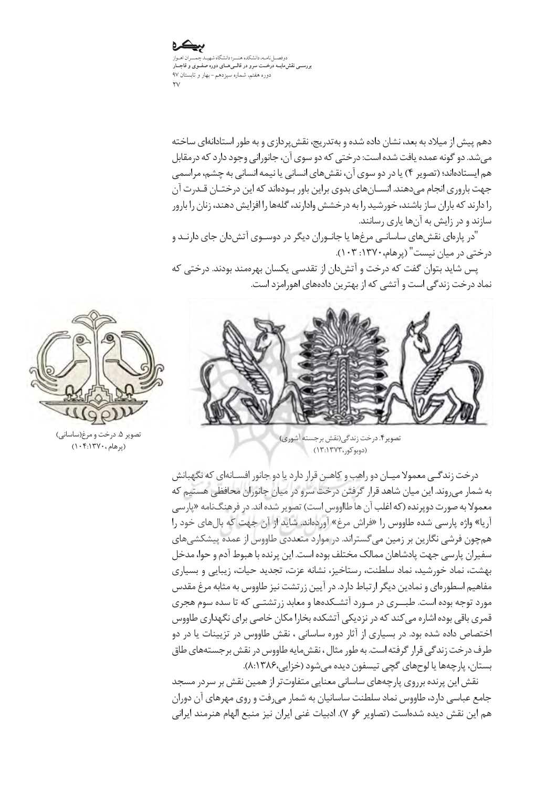دوفصـل نامـه، دانشکده هنــر؛ دانشگاه شهیـد چمــران اهـواز دوره هفتم، شماره سیزدهم - بهار و تابستان 97  $\gamma$ **بررسـی نقشمایـه درخـت سرو در قالـیهـای دوره صفـوی و قاجـار**

دهم پيش از ميالد به بعد، نشان داده شده و بهتدريج، نقشپردازی و به طور استادانهای ساخته میشد. دو گونه عمده يافت شده است: درختی كه دو سوی آن، جانورانی وجود دارد كه درمقابل هم ايستادهاند؛ )تصویر 4( يا در دو سوی آن، نقشهای انسانی يا نيمه انسانی به چشم، مراسمی جهت باروری انجام میدهند. انسـانهای بدوی براين باور بـودهاند كه اين درختـان قـدرت آن را دارند كه باران ساز باشند، خورشيد را به درخشش وادارند، گلهها را افزايش دهند، زنان را بارور سازند و در زايش به آنها یاری رسانند.

"در پارهای نقشهای ساسانـی مرغها یا جانـوران دیگر در دوسـوی آتشدان جای دارنـد و درختی در میان نیست" )پرهام:1370، 103(.

پس شاید بتوان گفت که درخت و آتشدان از تقدسی یکسان بهرهمند بودند. درختی که نماد درخت زندگی است و آتشی که از بهترین دادههای اهورامزد است.





)پرهام 104:1370،(

تصویر.4 درخت زندگی)نقش برجسته آشوری( )دوبوکور13:1373،(

درخت زندگـی معموال میـان دو راهب و کاهـن قرار دارد یا دو جانور افسـانهای که نگهبانش به شمار میروند. این میان شاهد قرار گرفتن درخت سرو در میان جانوران محافظی هستیم که معمولا به صورت دوپرنده (که اغلب آن ها طااووس است) تصویر شده اند. در فرهنگنامه «پارسی آریا« واژه پارسی شده طاووس را »فراش مرغ« آوردهاند. شاید از آن جهت که بالهای خود را همچون فرشی نگارین بر زمین میگستراند. در موارد متعددی طاووس از عمده پیشکشیهای سفیران پارسی جهت پادشاهان ممالک مختلف بوده است. این پرنده با هبوط آدم و حوا، مدخل بهشت، نماد خورشید، نماد سلطنت، رستاخیز، نشانه عزت، تجدید حیات، زیبایی و بسیاری مفاهیم اسطورهای و نمادین دیگر ارتباط دارد. در آیین زرتشت نیز طاووس به مثابه مرغ مقدس مورد توجه بوده است. طبــری در مـورد آتشـکدهها و معابد زرتشتـی که تا سده سوم هجری قمری باقی بوده اشاره میکند که در نزدیکی آتشکده بخارا مکان خاصی برای نگهداری طاووس اختصاص داده شده بود. در بسیاری از آثار دوره ساسانی ، نقش طاووس در تزیینات یا در دو طرف درخت زندگی قرار گرفته است. به طور مثال ، نقشمایه طاووس در نقش برجستههای طاق بستان، پارچهها یا لوحهای گچی تیسفون دیده می شود (خزایی،۱۳۸۶:۸).

نقش این پرنده برروی پارچههای ساسانی معنایی متفاوتتر از همین نقش بر سردر مسجد جامع عباسی دارد، طاووس نماد سلطنت ساسانیان به شمار میرفت و روی مهرهای آن دوران هم این نقش دیده شدهاست )تصاویر 6و 7(. ادبیات غنی ایران نیز منبع الهام هنرمند ایرانی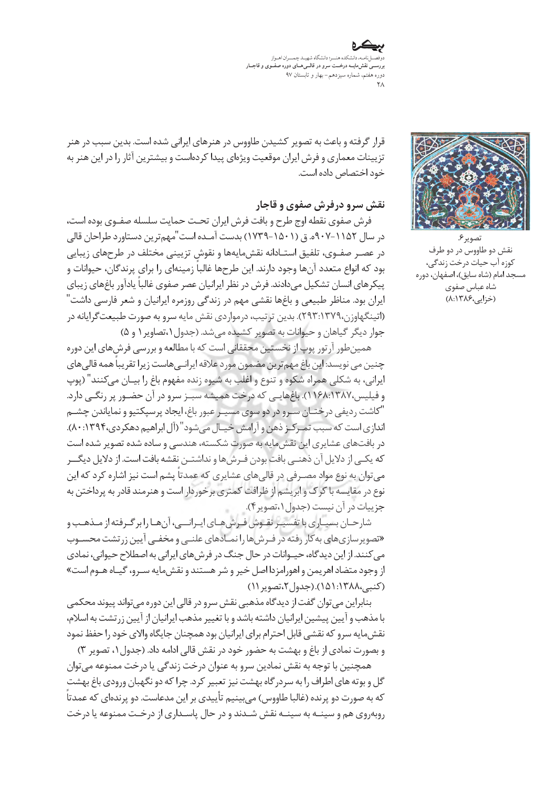دوفصـل نامـه، دانشکده هنــر؛ دانشگاه شهیـد چمــران اهـواز دوره هفتم، شماره سیزدهم - بهار و تابستان 97 ۲۸ **بررسـی نقشمایـه درخـت سرو در قالـیهـای دوره صفـوی و قاجـار**

قرار گرفته و باعث به تصویر کشیدن طاووس در هنرهای ایرانی شده است. بدین سبب در هنر تزیینات معماری و فرش ایران موقعیت ویژهای پیدا کردهاست و بیشترین آثار را در این هنر به خود اختصاص داده است.

**نقش سرو درفرش صفوی و قاجار**

فرش صفوی نقطه اوج طرح و بافت فرش ایران تحـت حمایت سلسله صفـوی بوده است، در سال ۹۰۷-۱۱۵۲ه. ق )۱۷۳۹-۱۵۰۱( بدست آمـده است"مهمترین دستاورد طراحان قالی در عصـر صفـوی، تلفیق استـادانه نقشمایهها و نقوش تزیینی مختلف در طرحهای زیبایی بود که انواع متعدد آنها وجود دارند. این طرحها غالباً زمینهای را برای پرندگان، حیوانات و پیکرهای انسان تشکیل میدادند. فرش در نظر ایرانیان عصر صفوی غالباً یادآور باغهای زیبای ایران بود. مناظر طبیعی و باغها نقشی مهم در زندگی روزمره ایرانیان و شعر فارسی داشت" )اتینگهاوزن293:1379،(. بدین ترتیب، درمواردی نقش مایه سرو به صورت طبیعتگرایانه در جوار دیگر گیاهان و حیوانات به تصویر کشیده میشد. )جدول،1تصاویر1 و 5(

همینطور آرتور پوپ از نخستین محققانی است که با مطالعه و بررسی فرشهای این دوره چنین می نویسد: این باغ مهم ترین مضمون مورد علاقه ایرانـیهاست زیرا تقریباً همه قالیهای ایرانی، به شکلی همراه شکوه و تنوع و اغلب به شیوه زنده مفهوم باغ را بیـان میکنند" )پوپ و فیلیس1168:1387،(. باغهایـی که درخت همیشه سبـز سرو در آن حضـور پر رنگـی دارد. "کاشت ردیفی درختـان سـرو در دو سوی مسیـر عبور باغ، ایجاد پرسپکتیو و نمایاندن چشـم اندازی است که سبب تمـرکـز ذهن و آرامش خیـال میشود" (آل ابراهیم دهکردی،۱۳۹۴.۸۰:۱۸ در بافتهای عشایری این نقشمایه به صورت شکسته، هندسی و ساده شده تصویر شده است که یکـی از دالیل آن ذهنـی بافت بودن فـرشها و نداشتـن نقشه بافت است. از دالیل دیگــر میتوان به نوع مواد مصـرفی در قالیهای عشایری که عمدتاً پشم است نیز اشاره کرد که این نوع در مقایسه با کرک و ابریشم از ظرافت کمتری برخوردار است و هنرمند قادر به پرداختن به جزییات در آن نیست (جدول ۱،تصویر ۴).

شارحـان بسیـاری با تفسیـر نقـوش فـرشهـای ایـرانــی، آنهـا را برگـرفته از مـذهـب و »تصویرسازیهای بهکار رفته در فـرشها را نمـادهای علنـی و مخفـی آیین زرتشت محسـوب میکنند. از این دیدگاه، حیـوانات در حال جنگ در فرشهای ایرانی به اصطالح حیوانی، نمادی از وجود متضاد اهریمن و اهورامزدا اصل خیر و شر هستند و نقشمایه سـرو، گیـاه هـوم است« )کنبی151:1388،(. )جدول،2تصویر11(

بنابراین میتوان گفت از دیدگاه مذهبی نقش سرو در قالی این دوره میتواند پیوند محکمی با مذهب و آیین پیشین ایرانیان داشته باشد و با تغییر مذهب ایرانیان از آیین زرتشت به اسالم، نقشمایه سرو که نقشی قابل احترام برای ایرانیان بود همچنان جایگاه واالی خود را حفظ نمود و بصورت نمادی از باغ و بهشت به حضور خود در نقش قالی ادامه داد. )جدول،1 تصویر 3(

همچنین با توجه به نقش نمادین سرو به عنوان درخت زندگی یا درخت ممنوعه میتوان گل و بوته های اطراف را به سردرگاه بهشت نیز تعبیر کرد. چرا که دو نگهبان ورودی باغ بهشت که به صورت دو پرنده (غالبا طاووس) میبینیم تأییدی بر این مدعاست. دو پرندهای که عمدتاً روبهروی هم و سینـه به سینـه نقش شـدند و در حال پاسـداری از درخـت ممنوعه یا درخت



تصویر ۶. نقش دو طاووس در دو طرف کوزه آب حیات درخت زندگی، مسجد امام (شاه سابق)، اصفهان، دوره شاه عباس صفوی (خزایی،۱۳۸۶)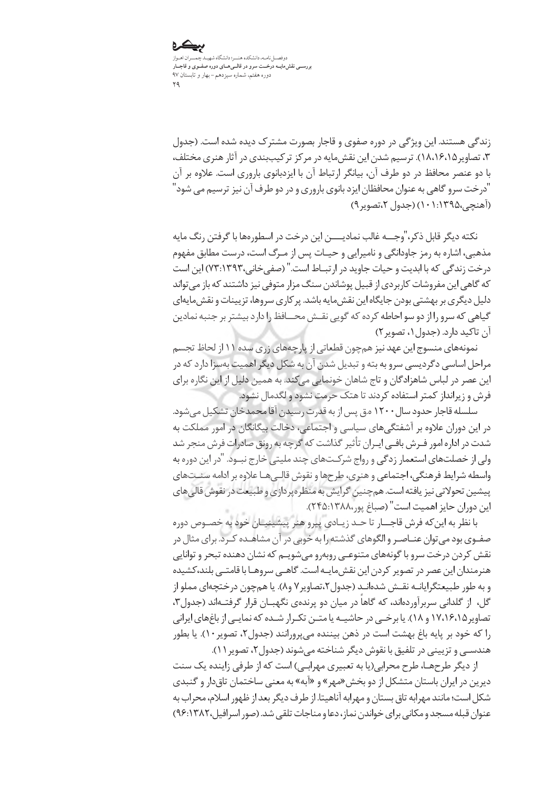دوفصـل نامـه، دانشکده هنــر؛ دانشگاه شهیـد چمــران اهـواز دوره هفتم، شماره سیزدهم - بهار و تابستان 97 ۲۹ **بررسـی نقشمایـه درخـت سرو در قالـیهـای دوره صفـوی و قاجـار**

زندگی هستند. این ویژگی در دوره صفوی و قاجار بصورت مشترک دیده شده است. )جدول ،3 تصاویر18،16،15(. ترسیم شدن این نقشمایه در مرکز ترکیببندی در آثار هنری مختلف، با دو عنصر محافظ در دو طرف آن، بیانگر ارتباط آن با ایزدبانوی باروری است. عالوه بر آن "درخت سرو گاهی به عنوان محافظان ایزد بانوی باروری و در دو طرف آن نیز ترسیم می شود" (آهنچی،۱۳۹۵:۱۰۱) (جدول ۲،تصویر ۹)

نکته دیگر قابل ذکر،"وجــه غالب نمادیـــن این درخت در اسطورهها با گرفتن رنگ مایه مذهبی، اشاره به رمز جاودانگی و نامیرایی و حیـات پس از مـرگ است، درست مطابق مفهوم درخت زندگی که با ابدیت و حیات جاوید در ارتبـاط است." (صفی خانی،١٣٩٣:٧٣) این است که گاهی این مفروشات کاربردی از قبیل پوشاندن سنگ مزار متوفی نیز داشتند که باز میتواند دلیل دیگری بر بهشتی بودن جایگاه این نقشمایه باشد. پرکاری سروها، تزیینات و نقشمایهای گیاهی که سرو را از دو سو احاطه کرده که گویی نقـش محــافظ را دارد بیشتر بر جنبه نمادین آن تاکید دارد. )جدول،1 تصویر2(

نمونههای منسوج این عهد نیز همچون قطعاتی از پارچههای زری سده 11 از لحاظ تجسم مراحل اساسی دگردیسی سرو به بته و تبدیل شدن آن به شکل دیگر اهمیت بهسزا دارد که در این عصر در لباس شاهزادگان و تاج شاهان خونمایی میکند. به همین دلیل از این نگاره برای فرش و زیرانداز کمتر استفاده کردند تا هتک حرمت نشود و لگدمال نشود.

سلسله قاجار حدود سال1200 ه.ق پس از به قدرت رسیدن آقا محمدخان تشکیل میشود. در این دوران عالوه بر آشفتگیهای سیاسی و اجتماعی، دخالت بیگانگان در امور مملکت به شدت در اداره امور فـرش بافـی ایـران تأثیر گذاشت که گرچه به رونق صادرات فرش منجر شد ولی از خصلتهای استعمار زدگی و رواج شرکـتهای چند ملیتی خارج نبـود. "در این دوره به واسطه شرایط فرهنگی، اجتماعی و هنری، طرحها و نقوش قالـیهـا عالوه بر ادامه سنـتهای پیشین تحوالتی نیز یافته است. همچنین گرایش به منظرهپردازی و طبیعت در نقوش قالیهای این دوران حایز اهمیت است" )صباغ پور245:1388،(.

با نظر به اینکه فرش قاجــار تا حـد زیـادی پیرو هنر پیشینیـان خود به خصـوص دوره صفـوی بود میتوان عنـاصـر و الگوهای گذشته را به خوبی در آن مشاهـده کـرد. برای مثال در نقش کردن درخت سرو با گونههای متنوعـی روبهرو میشویـم که نشان دهنده تبحر و توانایی هنرمندان این عصر در تصویر کردن این نقشمایـه است. گاهـی سروهـا با قامتـی بلند،کشیده و به طور طبیعتگرایانـه نقـش شدهانـد )جدول،2تصاویر7 و8(. یا همچون درختچهای مملو از گل، از گلدانی سربرآوردهاند، که گاهاً در میان دو پرندهی نگهبــان قرار گرفتــهاند (جدول۳، تصاویر17،16،15 و 18(. یا برخـی در حاشیـه یا متـن تکـرار شـده که نمایـی از باغهای ایرانی را که خود بر پایه باغ بهشت است در ذهن بیننده میپرورانند )جدول،2 تصویر10(. یا بطور هندسـی و تزیینی در تلفیق با نقوش دیگر شناخته میشوند )جدول،2 تصویر11(.

از دیگر طرحهـا، طرح محرابی(یا به تعبیری مهرابـی) است که از طرفی زاینده یک سنت دیرین در ایران باستان متشکل از دو بخش «مهر» و «آبه» به معنی ساختمان تاق دار و گنبدی شکل است؛ مانند مهرابه تاق بستان و مهرابه آناهیتا. از طرف دیگر بعد از ظهور اسالم، محراب به عنوان قبله مسجد و مکانی برای خواندن نماز، دعا و مناجات تلقی شد. )صور اسرافیل96:1382،(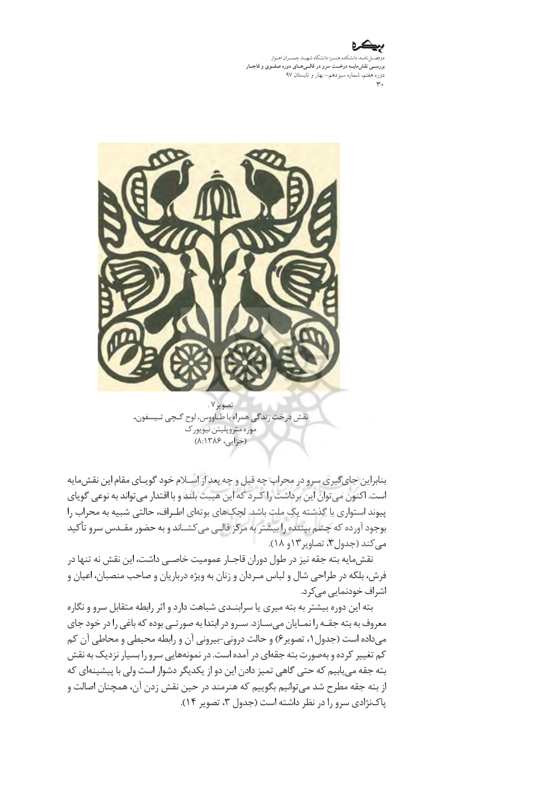

دوفصـل نامـه، دانشکده هنــر؛ دانشگاه شهیـد چمــران اهـواز دوره هفتم، شماره سیزدهم - بهار و تابستان 97 ٣٠ **بررسـی نقشمایـه درخـت سرو در قالـیهـای دوره صفـوی و قاجـار**



تصویر7 . نقش درخت زندگی همراه با طـاووس، لوح گـچی تـیسفون.، موزه متروپلیتن نیویورک (خزایی، ۱۳۸۶)

بنابراین جایگیری سرو در محراب چه قبل و چه بعد از اسـالم خود گویـای مقام این نقشمایه است. اکنون میتوان این برداشت را کـرد که این هیبت بلند و با اقتدار میتواند به نوعی گویای پیوند استواری با گذشته یک ملت باشد. لچکهای بوتهای اطـراف، حالتی شبیه به محراب را بوجود آورده که چشم بیننده را بیشتر به مرکز قالـی میکشـاند و به حضور مقـدس سرو تأکید می کند (جدول،۳، تصاویر ۱۲و ۱۸).

نقشمایه بته جقه نیز در طول دوران قاجـار عمومیت خاصـی داشت، این نقش نه تنها در فرش، بلکه در طراحی شال و لباس مـردان و زنان به ویژه درباریان و صاحب منصبان، اعیان و اشراف خودنمایی میکرد.

بته این دوره بیشتر به بته میری یا سرابنـدی شباهت دارد و اثر رابطه متقابل سرو و نگاره معروف به بته جقـه را نمـایان میسـازد. سـرو در ابتدا به صورتـی بوده که باغی را در خود جای می داده است (جدول۱، تصویر۶) و حالت درونی-بیرونی آن و رابطه محیطی و محاطی آن کم کم تغییر کرده و بهصورت بته جقهای در آمده است. در نمونههایی سرو را بسیار نزدیک به نقش بته جقه مییابیم که حتی گاهی تمیز دادن این دو از یکدیگر دشوار است ولی با پیشینهای که از بته جقه مطرح شد میتوانیم بگوییم که هنرمند در حین نقش زدن آن، همچنان اصالت و پاکنژادی سرو را در نظر داشته است (جدول ۳، تصویر ۱۴).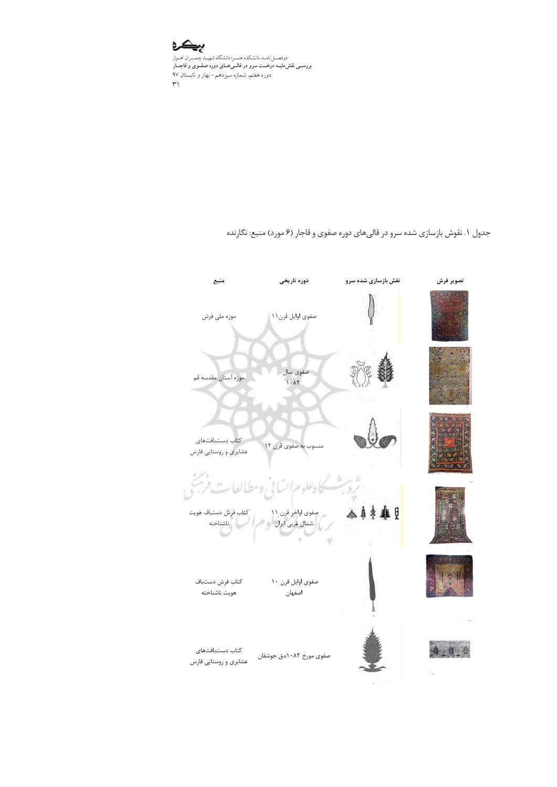

دوفصـل نامـه، دانشکده هنــر؛ دانشگاه شهیـد چمــران اهـواز دوره هفتم، شماره سیزدهم - بهار و تابستان 97  $\mathcal{M}$ **بررسـی نقشمایـه درخـت سرو در قالـیهـای دوره صفـوی و قاجـار**

جدول ۱. نقوش بازسازی شده سرو در قالیهای دوره صفوی و قاجار (۶ مورد) منبع: نگارنده

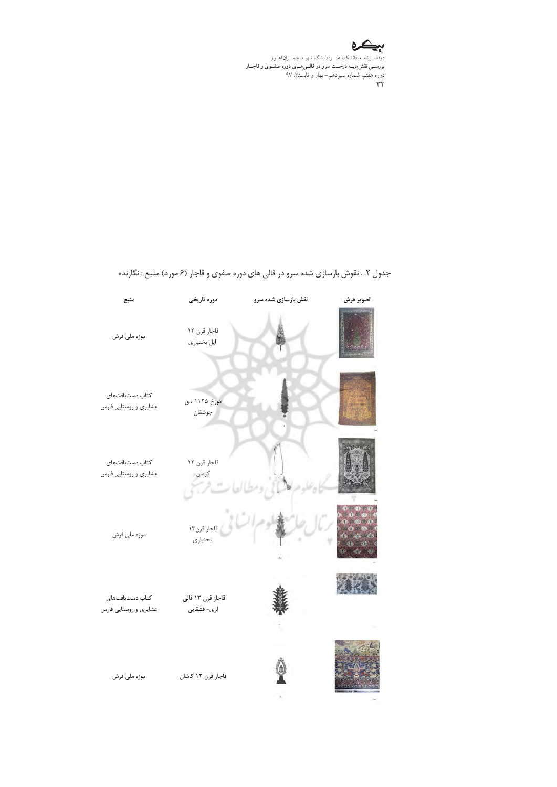

دوفصـل نامـه، دانشکده هنــر؛ دانشگاه شهیـد چمــران اهـواز دوره هفتم، شماره سیزدهم - بهار و تابستان 97  $\tau\tau$ **بررسـی نقشمایـه درخـت سرو در قالـیهـای دوره صفـوی و قاجـار**

## جدول ۲. نقوش بازسازی شده سرو در قالی های دوره صفوی و قاجار (۶ مورد) منبع : نگارنده

| منبع                                     | دوره تاریخی                      | نقش بازسازی شده سرو | تصوير فرش |
|------------------------------------------|----------------------------------|---------------------|-----------|
| موزه ملی فرش                             | قاجار قرن ١٢<br>ايل بختياري      |                     |           |
| كتاب دستبافتهاى<br>عشایری و روستایی فارس | مورخ ۱۱۲۵ ه.ق<br>جوشقان          |                     |           |
| كتاب دستبافتهاى<br>عشایری و روستایی فارس | قاجار قرن ١٢<br>كرمان            |                     |           |
| موزه ملی فرش                             | قاجار قرن۱۳<br>بختياري           |                     |           |
| كتاب دستبافتهاى<br>عشایری و روستایی فارس | قاجار قرن ١٣ قالي<br>لری- قشقایی |                     |           |
| موزه ملی فرش                             | قاجار قرن ١٢ كاشان               | $\Omega$            |           |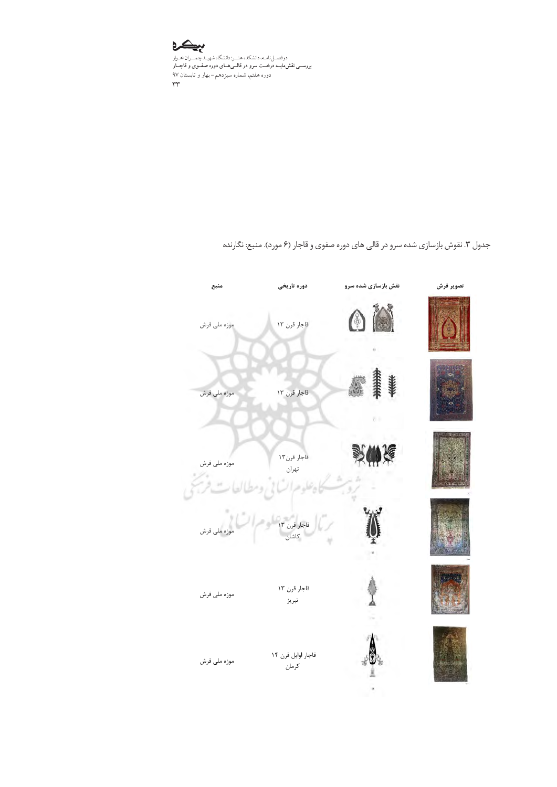

دوفصـل نامـه، دانشکده هنــر؛ دانشگاه شهیـد چمــران اهـواز دوره هفتم، شماره سیزدهم - بهار و تابستان 97  $\forall$ **بررسـی نقشمایـه درخـت سرو در قالـیهـای دوره صفـوی و قاجـار**

جدول ٣. نقوش بازسازی شده سرو در قالی های دوره صفوی و قاجار (۶ مورد). منبع: نگارنده

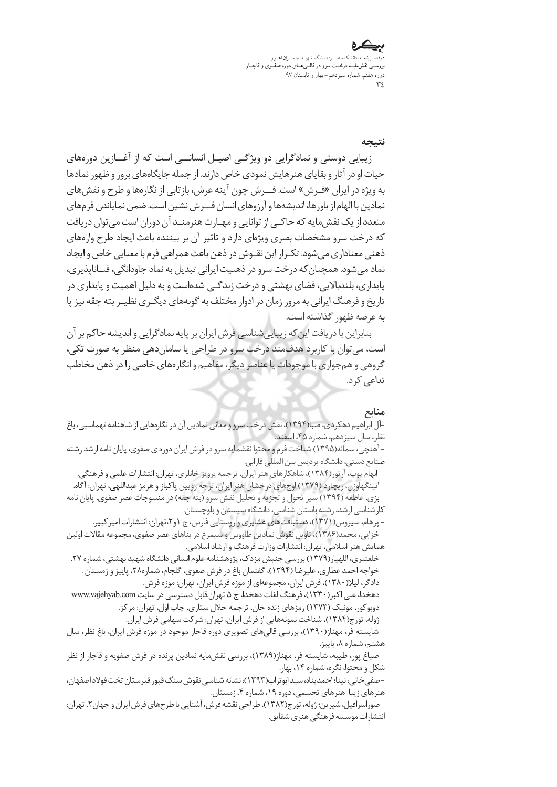دوفصـل نامـه، دانشکده هنــر؛ دانشگاه شهیـد چمــران اهـواز دوره هفتم، شماره سیزدهم - بهار و تابستان 97 ٣٤ **بررسـی نقشمایـه درخـت سرو در قالـیهـای دوره صفـوی و قاجـار**

**نتیجه**

زیبایی دوستی و نمادگرایی دو ویژگـی اصیـل انسانــی است که از آغــازین دورههای حیات او در آثار و بقایای هنرهایش نمودی خاص دارند. از جمله جایگاههای بروز و ظهور نمادها به ویژه در ایران «فـرش» است. فــرش چون آینه عرش، بازتابی از نگارهها و طرح و نقشهای نمادین با الهام از باورها، اندیشهها و آرزوهای انسان فــرش نشین است. ضمن نمایاندن فرمهای متعدد از یک نقشمایه که حاکـی از توانایی و مهـارت هنرمنـد آن دوران است میتوان دریافت که درخت سرو مشخصات بصری ویژهای دارد و تاثیر آن بر بیننده باعث ایجاد طرح وارههای ذهنی معناداری میشود. تکـرار این نقـوش در ذهن باعث همراهی فرم با معنایی خاص و ایجاد نماد میشود. همچنانکه درخت سرو در ذهنیت ایرانی تبدیل به نماد جاودانگی، فنـاناپذیری، پایداری، بلندباالیی، فضای بهشتی و درخت زندگـی شدهاست و به دلیل اهمیت و پایداری در تاریخ و فرهنگ ایرانی به مرور زمان در ادوار مختلف به گونههای دیگـری نظیـر بته جقه نیز پا به عرصه ظهور گذاشته است.

بنابراین با دریافت اینکه زیباییشناسی فرش ایران بر پایه نمادگرایی و اندیشه حاکم بر آن است، میتوان با کاربرد هدفمند درخت سرو در طراحی یا ساماندهی منظر به صورت تکی، گروهی و همجواری با موجودات یا عناصر دیگر، مفاهیم و انگارههای خاصی را در ذهن مخاطب تداعی کرد.

## **منابع**

-آل ابراهیم دهکردی، صبا)1394(، نقش درخت سرو و معانی نمادین آن در نگارههایی از شاهنامه تهماسبی، باغ نظر، سال سیزدهم، شماره ،45 اسفند. - آهنچی، سمانه)1395( شناخت فرم و محتوا نقشمایه سرو در فرش ایران دوره ی صفوی، پایان نامه ارشد رشته صنایع دستی، دانشگاه پردیس بین المللی فارابی. - ابهام پوپ، آرتور)1384(، شاهکارهای هنر ایران، ترجمه پرویز خانلری، تهران: انتشارات علمی و فرهنگی. - اتینگهاوزن، ریچارد )1379( اوجهای درخشان هنر ایران، ترجه رویین پاکباز و هرمز عبداللهی، تهران: آگاه. - بزی، عاطفه )1394( سیر تحول و تجزیه و تحلیل نقش سرو )بته جقه( در منسوجات عصر صفوی، پایان نامه کارشناسی ارشد، رشته باستان شناسی، دانشگاه سیستان و بلوچستان. - پرهام، سیروس)1371(، دستبافتهای عشایری و روستایی فارس، ج 1و،2تهران: انتشارات امیرکبیر. - خزایی، محمد)1386(، تاویل نقوش نمادین طاووس و سیمرغ در بناهای عصر صفوی، مجموعه مقاالت اولین همایش هنر اسالمی، تهران: انتشارات وزارت فرهنگ و ارشاد اسالمی. - خلعتبری، اللهیار)1379( بررسی جنبش مزدک، پژوهشنامه علوم انسانی دانشگاه شهید بهشتی، شماره .27 - خواجه احمد عطاری، علیرضا )1394(، گفتمان باغ در فرش صفوی، گلجام، شماره،28 پاییز و زمستان . - دادگر، لیال)1380(، فرش ایران، مجموعهای از موزه فرش ایران، تهران: موزه فرش. - دهخدا، علی اکبر)1330(، فرهنگ لغات دهخدا، ج 5 تهران.قابل دسترسی در سایت com.vajehyab.www - دوبوکور، مونیک )1373( رمزهای زنده جان، ترجمه جالل ستاری، چاپ اول، تهران: مرکز. - ژوله، تورج)1384(، شناخت نمونههایی از فرش ایران، تهران: شرکت سهامی فرش ایران. - شایسته فر، مهناز)1390(، بررسی قالیهای تصویری دوره قاجار موجود در موزه فرش ایران، باغ نظر، سال هشتم، شماره ۸، پاییز.

- صباغ پور، طیبه، شایسته فر، مهناز)1389(، بررسی نقشمایه نمادین پرنده در فرش صفویه و قاجار از نظر شکل و محتوا، نگره، شماره ،14 بهار.

- صفیخانی، نینا؛ احمدپناه، سید ابوتراب)1393(، نشانه شناسی نقوش سنگ قبور قبرستان تخت فوالد اصفهان، هنرهای زیبا-هنرهای تجسمی، دوره ،19 شماره ،4 زمستان.

- صوراسرافیل، شیرین؛ ژوله، تورج)1382(، طراحی نقشه فرش، آشنایی با طرحهای فرش ایران و جهان،2 تهران: انتشارات موسسه فرهنگی هنری شقایق.